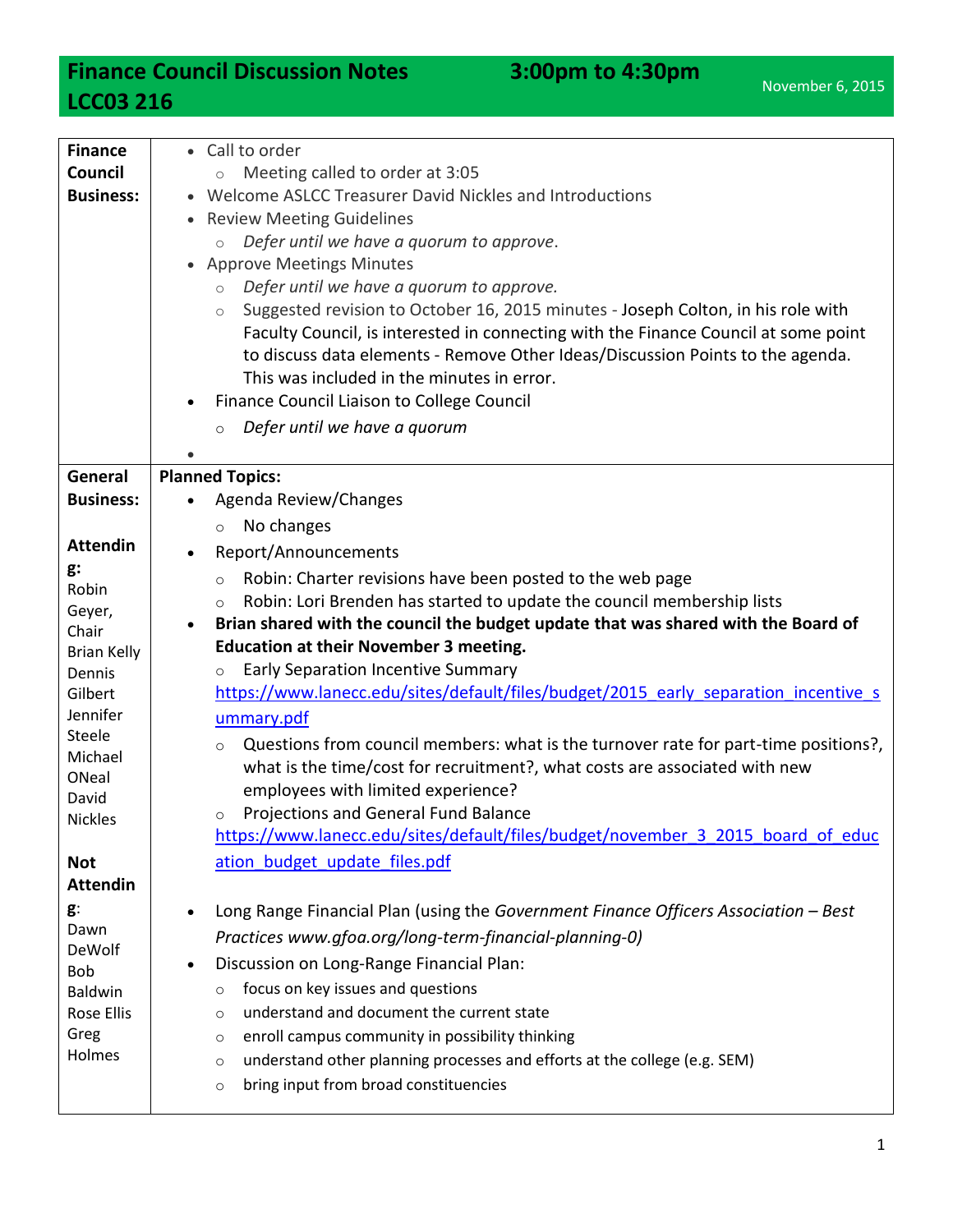## **Finance Council Discussion Notes** 3:00pm to 4:30pm **LCC03 216**

| <b>Finance</b>     | • Call to order                                                                                |
|--------------------|------------------------------------------------------------------------------------------------|
| Council            | Meeting called to order at 3:05<br>$\circ$                                                     |
| <b>Business:</b>   | Welcome ASLCC Treasurer David Nickles and Introductions                                        |
|                    | • Review Meeting Guidelines                                                                    |
|                    | Defer until we have a quorum to approve.                                                       |
|                    | <b>Approve Meetings Minutes</b><br>$\bullet$                                                   |
|                    | Defer until we have a quorum to approve.<br>$\circ$                                            |
|                    | Suggested revision to October 16, 2015 minutes - Joseph Colton, in his role with<br>$\circ$    |
|                    | Faculty Council, is interested in connecting with the Finance Council at some point            |
|                    | to discuss data elements - Remove Other Ideas/Discussion Points to the agenda.                 |
|                    | This was included in the minutes in error.                                                     |
|                    | Finance Council Liaison to College Council                                                     |
|                    | Defer until we have a quorum<br>$\circ$                                                        |
|                    |                                                                                                |
| General            | <b>Planned Topics:</b>                                                                         |
| <b>Business:</b>   | Agenda Review/Changes                                                                          |
|                    | No changes<br>$\circ$                                                                          |
| <b>Attendin</b>    | Report/Announcements                                                                           |
| g:<br>Robin        | Robin: Charter revisions have been posted to the web page<br>$\circ$                           |
| Geyer,             | Robin: Lori Brenden has started to update the council membership lists<br>$\circ$              |
| Chair              | Brian shared with the council the budget update that was shared with the Board of              |
| <b>Brian Kelly</b> | <b>Education at their November 3 meeting.</b>                                                  |
| Dennis             | Early Separation Incentive Summary<br>$\circ$                                                  |
| Gilbert            | https://www.lanecc.edu/sites/default/files/budget/2015 early separation incentive s            |
| Jennifer           | ummary.pdf                                                                                     |
| Steele<br>Michael  | Questions from council members: what is the turnover rate for part-time positions?,<br>$\circ$ |
| ONeal              | what is the time/cost for recruitment?, what costs are associated with new                     |
| David              | employees with limited experience?                                                             |
| <b>Nickles</b>     | Projections and General Fund Balance<br>$\circ$                                                |
|                    | https://www.lanecc.edu/sites/default/files/budget/november 3 2015 board of educ                |
| <b>Not</b>         | ation budget update files.pdf                                                                  |
| <b>Attendin</b>    |                                                                                                |
| g:                 | Long Range Financial Plan (using the Government Finance Officers Association - Best            |
| Dawn               | Practices www.gfoa.org/long-term-financial-planning-0)                                         |
| DeWolf<br>Bob      | Discussion on Long-Range Financial Plan:                                                       |
| Baldwin            | focus on key issues and questions<br>$\circ$                                                   |
| <b>Rose Ellis</b>  | understand and document the current state<br>$\circ$                                           |
| Greg               | enroll campus community in possibility thinking<br>$\circ$                                     |
| Holmes             | understand other planning processes and efforts at the college (e.g. SEM)<br>$\circ$           |
|                    | bring input from broad constituencies<br>$\circ$                                               |
|                    |                                                                                                |